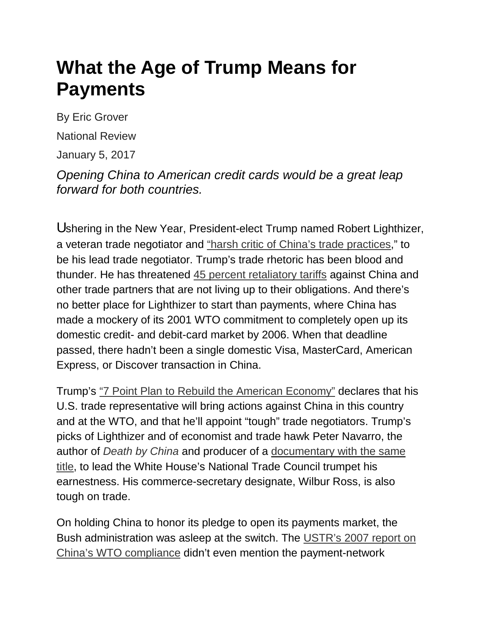## **What the Age of Trump Means for Payments**

By Eric Grover

National Review

January 5, 2017

*Opening China to American credit cards would be a great leap forward for both countries.*

Ushering in the New Year, President-elect Trump named Robert Lighthizer, a veteran trade negotiator and "harsh critic of China's trade practices," to be his lead trade negotiator. Trump's trade rhetoric has been blood and thunder. He has threatened [45 percent retaliatory tariffs](http://www.latimes.com/opinion/op-ed/la-oe-navarro-trump-trade-china-tariffs-20160721-snap-story.html) against China and other trade partners that are not living up to their obligations. And there's no better place for Lighthizer to start than payments, where China has made a mockery of its 2001 WTO commitment to completely open up its domestic credit- and debit-card market by 2006. When that deadline passed, there hadn't been a single domestic Visa, MasterCard, American Express, or Discover transaction in China.

Trump's "7 Point Plan to Rebuild [the American Economy"](https://www.donaldjtrump.com/policies/trade) declares that his U.S. trade representative will bring actions against China in this country and at the WTO, and that he'll appoint "tough" trade negotiators. Trump's picks of Lighthizer and of economist and trade hawk Peter Navarro, the author of *[Death by China](https://www.amazon.com/Crouching-Tiger-Chinas-Militarism-Means/dp/1633881148/ref=pd_sim_14_1?_encoding=UTF8&psc=1&refRID=YJR86WRPXHG6AYP0DJHM)* and producer of a [documentary with the same](http://deathbychina.com/)  [title,](http://deathbychina.com/) to lead the White House's National Trade Council trumpet his earnestness. His commerce-secretary designate, Wilbur Ross, is also tough on trade.

On holding China to honor its pledge to open its payments market, the Bush administration was asleep at the switch. The [USTR's 2007 report on](https://ustr.gov/sites/default/files/asset_upload_file625_13692.pdf)  [China's WTO compliance](https://ustr.gov/sites/default/files/asset_upload_file625_13692.pdf) didn't even mention the payment-network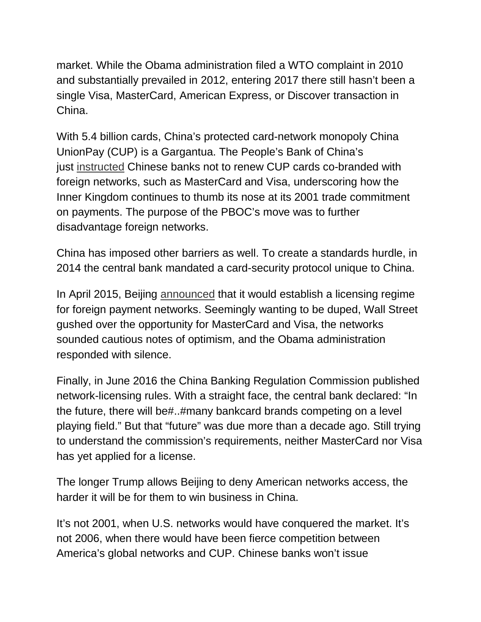market. While the Obama administration filed a WTO complaint in 2010 and substantially prevailed in 2012, entering 2017 there still hasn't been a single Visa, MasterCard, American Express, or Discover transaction in China.

With 5.4 billion cards, China's protected card-network monopoly China UnionPay (CUP) is a Gargantua. The People's Bank of China's just [instructed](https://www.ft.com/content/1f26b75c-bac2-11e6-8b45-b8b81dd5d080) Chinese banks not to renew CUP cards co-branded with foreign networks, such as MasterCard and Visa, underscoring how the Inner Kingdom continues to thumb its nose at its 2001 trade commitment on payments. The purpose of the PBOC's move was to further disadvantage foreign networks.

China has imposed other barriers as well. To create a standards hurdle, in 2014 the central bank mandated a card-security protocol unique to China.

In April 2015, Beijing [announced](http://www.reuters.com/article/china-banking-services-idUSL4N0XJ28E20150422) that it would establish a licensing regime for foreign payment networks. Seemingly wanting to be duped, Wall Street gushed over the opportunity for MasterCard and Visa, the networks sounded cautious notes of optimism, and the Obama administration responded with silence.

Finally, in June 2016 the China Banking Regulation Commission published network-licensing rules. With a straight face, the central bank declared: "In the future, there will be#..#many bankcard brands competing on a level playing field." But that "future" was due more than a decade ago. Still trying to understand the commission's requirements, neither MasterCard nor Visa has yet applied for a license.

The longer Trump allows Beijing to deny American networks access, the harder it will be for them to win business in China.

It's not 2001, when U.S. networks would have conquered the market. It's not 2006, when there would have been fierce competition between America's global networks and CUP. Chinese banks won't issue